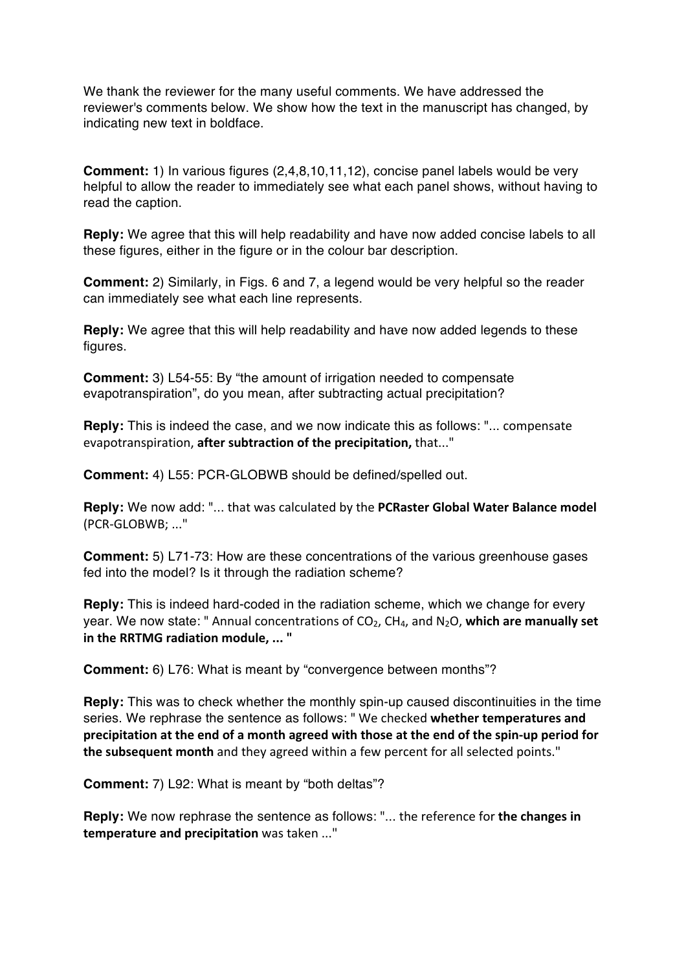We thank the reviewer for the many useful comments. We have addressed the reviewer's comments below. We show how the text in the manuscript has changed, by indicating new text in boldface.

**Comment:** 1) In various figures (2,4,8,10,11,12), concise panel labels would be very helpful to allow the reader to immediately see what each panel shows, without having to read the caption.

**Reply:** We agree that this will help readability and have now added concise labels to all these figures, either in the figure or in the colour bar description.

**Comment:** 2) Similarly, in Figs. 6 and 7, a legend would be very helpful so the reader can immediately see what each line represents.

**Reply:** We agree that this will help readability and have now added legends to these figures.

**Comment:** 3) L54-55: By "the amount of irrigation needed to compensate evapotranspiration", do you mean, after subtracting actual precipitation?

**Reply:** This is indeed the case, and we now indicate this as follows: "... compensate evapotranspiration, **after subtraction of the precipitation**, that..."

**Comment:** 4) L55: PCR-GLOBWB should be defined/spelled out.

**Reply:** We now add: "... that was calculated by the **PCRaster Global Water Balance model** (PCR-GLOBWB: ..."

**Comment:** 5) L71-73: How are these concentrations of the various greenhouse gases fed into the model? Is it through the radiation scheme?

**Reply:** This is indeed hard-coded in the radiation scheme, which we change for every year. We now state: " Annual concentrations of  $CO<sub>2</sub>$ ,  $CH<sub>4</sub>$ , and  $N<sub>2</sub>O$ , which are manually set **in the RRTMG radiation module, ...** "

**Comment:** 6) L76: What is meant by "convergence between months"?

**Reply:** This was to check whether the monthly spin-up caused discontinuities in the time series. We rephrase the sentence as follows: "We checked whether temperatures and **precipitation at the end of a month agreed with those at the end of the spin-up period for the subsequent month** and they agreed within a few percent for all selected points."

**Comment:** 7) L92: What is meant by "both deltas"?

**Reply:** We now rephrase the sentence as follows: "... the reference for the changes in **temperature and precipitation** was taken ..."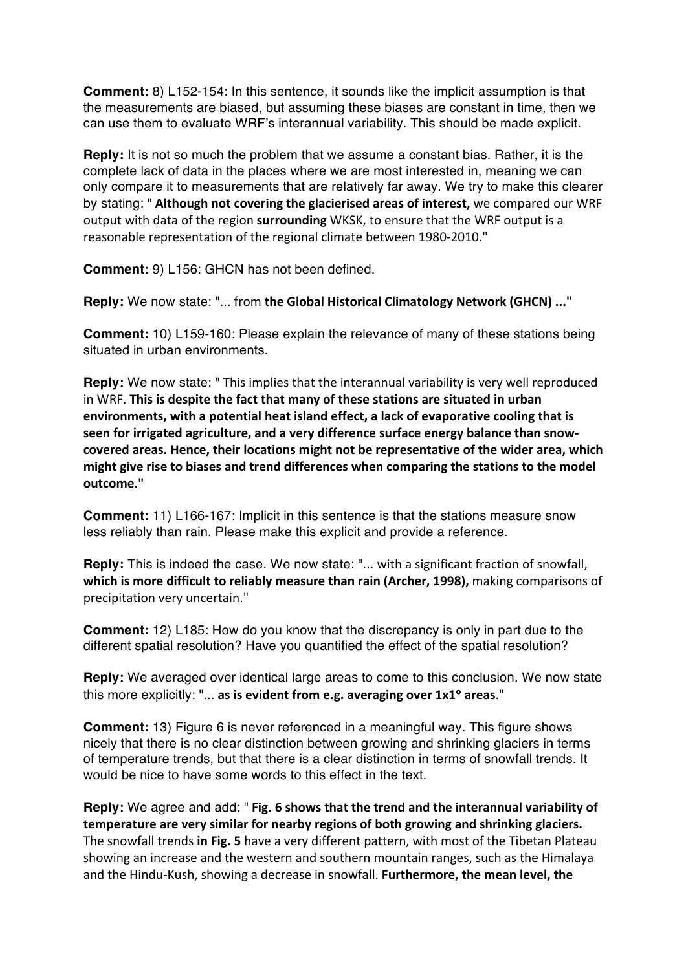**Comment:** 8) L152-154: In this sentence, it sounds like the implicit assumption is that the measurements are biased, but assuming these biases are constant in time, then we can use them to evaluate WRF's interannual variability. This should be made explicit.

**Reply:** It is not so much the problem that we assume a constant bias. Rather, it is the complete lack of data in the places where we are most interested in, meaning we can only compare it to measurements that are relatively far away. We try to make this clearer by stating: " Although not covering the glacierised areas of interest, we compared our WRF output with data of the region surrounding WKSK, to ensure that the WRF output is a reasonable representation of the regional climate between 1980-2010."

**Comment:** 9) L156: GHCN has not been defined.

**Reply:** We now state: "... from the Global Historical Climatology Network (GHCN) ..."

**Comment:** 10) L159-160: Please explain the relevance of many of these stations being situated in urban environments.

**Reply:** We now state: " This implies that the interannual variability is very well reproduced in WRF. This is despite the fact that many of these stations are situated in urban environments, with a potential heat island effect, a lack of evaporative cooling that is seen for irrigated agriculture, and a very difference surface energy balance than snow**covered areas. Hence, their locations might not be representative of the wider area, which**  might give rise to biases and trend differences when comparing the stations to the model **outcome."**

**Comment:** 11) L166-167: Implicit in this sentence is that the stations measure snow less reliably than rain. Please make this explicit and provide a reference.

**Reply:** This is indeed the case. We now state: "... with a significant fraction of snowfall, **which is more difficult to reliably measure than rain (Archer, 1998),** making comparisons of precipitation very uncertain."

**Comment:** 12) L185: How do you know that the discrepancy is only in part due to the different spatial resolution? Have you quantified the effect of the spatial resolution?

**Reply:** We averaged over identical large areas to come to this conclusion. We now state this more explicitly: "... as is evident from e.g. averaging over  $1 \times 1^\circ$  areas."

**Comment:** 13) Figure 6 is never referenced in a meaningful way. This figure shows nicely that there is no clear distinction between growing and shrinking glaciers in terms of temperature trends, but that there is a clear distinction in terms of snowfall trends. It would be nice to have some words to this effect in the text.

**Reply:** We agree and add: " Fig. 6 shows that the trend and the interannual variability of **temperature** are very similar for nearby regions of both growing and shrinking glaciers. The snowfall trends in Fig. 5 have a very different pattern, with most of the Tibetan Plateau showing an increase and the western and southern mountain ranges, such as the Himalaya and the Hindu-Kush, showing a decrease in snowfall. Furthermore, the mean level, the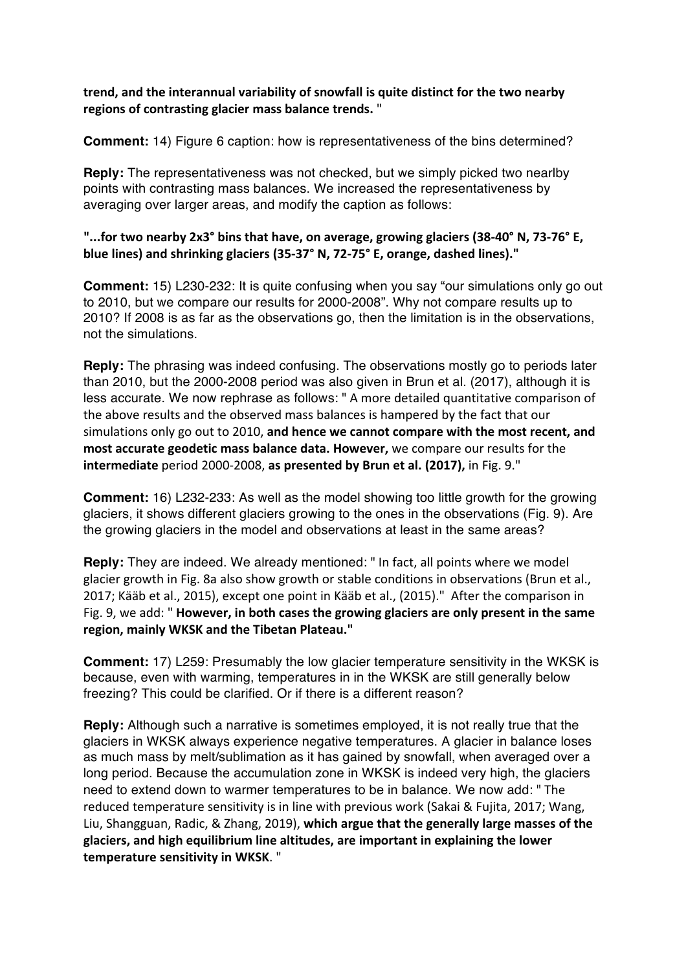**trend, and the interannual variability of snowfall is quite distinct for the two nearby regions of contrasting glacier mass balance trends.** "

**Comment:** 14) Figure 6 caption: how is representativeness of the bins determined?

**Reply:** The representativeness was not checked, but we simply picked two nearlby points with contrasting mass balances. We increased the representativeness by averaging over larger areas, and modify the caption as follows:

## **"...for two nearby 2x3° bins that have, on average, growing glaciers (38-40° N, 73-76° E, blue lines)** and shrinking glaciers (35-37° N, 72-75° E, orange, dashed lines)."

**Comment:** 15) L230-232: It is quite confusing when you say "our simulations only go out to 2010, but we compare our results for 2000-2008". Why not compare results up to 2010? If 2008 is as far as the observations go, then the limitation is in the observations, not the simulations.

**Reply:** The phrasing was indeed confusing. The observations mostly go to periods later than 2010, but the 2000-2008 period was also given in Brun et al. (2017), although it is less accurate. We now rephrase as follows: "A more detailed quantitative comparison of the above results and the observed mass balances is hampered by the fact that our simulations only go out to 2010, and hence we cannot compare with the most recent, and **most accurate geodetic mass balance data. However,** we compare our results for the **intermediate** period 2000-2008, as presented by Brun et al. (2017), in Fig. 9."

**Comment:** 16) L232-233: As well as the model showing too little growth for the growing glaciers, it shows different glaciers growing to the ones in the observations (Fig. 9). Are the growing glaciers in the model and observations at least in the same areas?

**Reply:** They are indeed. We already mentioned: " In fact, all points where we model glacier growth in Fig. 8a also show growth or stable conditions in observations (Brun et al., 2017; Kääb et al., 2015), except one point in Kääb et al., (2015)." After the comparison in Fig. 9, we add: " **However, in both cases the growing glaciers are only present in the same** region, mainly WKSK and the Tibetan Plateau."

**Comment:** 17) L259: Presumably the low glacier temperature sensitivity in the WKSK is because, even with warming, temperatures in in the WKSK are still generally below freezing? This could be clarified. Or if there is a different reason?

**Reply:** Although such a narrative is sometimes employed, it is not really true that the glaciers in WKSK always experience negative temperatures. A glacier in balance loses as much mass by melt/sublimation as it has gained by snowfall, when averaged over a long period. Because the accumulation zone in WKSK is indeed very high, the glaciers need to extend down to warmer temperatures to be in balance. We now add: " The reduced temperature sensitivity is in line with previous work (Sakai & Fujita, 2017; Wang, Liu, Shangguan, Radic, & Zhang, 2019), which argue that the generally large masses of the glaciers, and high equilibrium line altitudes, are important in explaining the lower **temperature sensitivity in WKSK.** "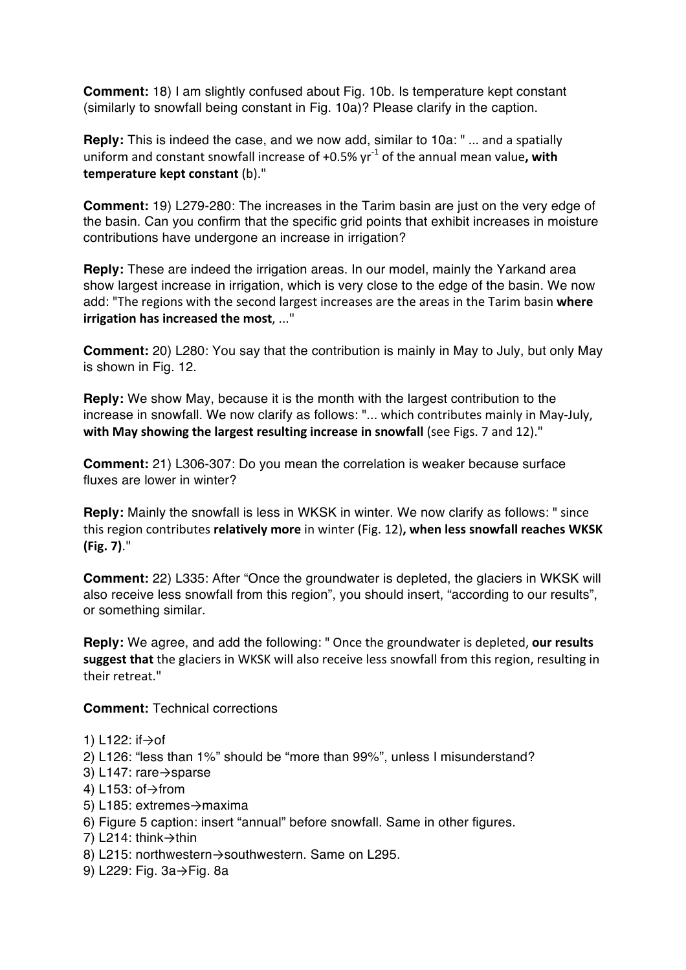**Comment:** 18) I am slightly confused about Fig. 10b. Is temperature kept constant (similarly to snowfall being constant in Fig. 10a)? Please clarify in the caption.

**Reply:** This is indeed the case, and we now add, similar to 10a: " ... and a spatially uniform and constant snowfall increase of  $+0.5\%$  yr<sup>-1</sup> of the annual mean value, with **temperature kept constant** (b)."

**Comment:** 19) L279-280: The increases in the Tarim basin are just on the very edge of the basin. Can you confirm that the specific grid points that exhibit increases in moisture contributions have undergone an increase in irrigation?

**Reply:** These are indeed the irrigation areas. In our model, mainly the Yarkand area show largest increase in irrigation, which is very close to the edge of the basin. We now add: "The regions with the second largest increases are the areas in the Tarim basin where **irrigation has increased the most, ..."** 

**Comment:** 20) L280: You say that the contribution is mainly in May to July, but only May is shown in Fig. 12.

**Reply:** We show May, because it is the month with the largest contribution to the increase in snowfall. We now clarify as follows: "... which contributes mainly in May-July, with May showing the largest resulting increase in snowfall (see Figs. 7 and 12)."

**Comment:** 21) L306-307: Do you mean the correlation is weaker because surface fluxes are lower in winter?

**Reply:** Mainly the snowfall is less in WKSK in winter. We now clarify as follows: " since this region contributes **relatively more** in winter (Fig. 12), when less snowfall reaches WKSK **(Fig. 7)**."

**Comment:** 22) L335: After "Once the groundwater is depleted, the glaciers in WKSK will also receive less snowfall from this region", you should insert, "according to our results", or something similar.

Reply: We agree, and add the following: " Once the groundwater is depleted, our results suggest that the glaciers in WKSK will also receive less snowfall from this region, resulting in their retreat."

**Comment:** Technical corrections

1) L122: if→of

2) L126: "less than 1%" should be "more than 99%", unless I misunderstand?

- 3) L147: rare→sparse
- 4) L153: of→from
- 5) L185: extremes→maxima
- 6) Figure 5 caption: insert "annual" before snowfall. Same in other figures.
- 7) L214: think→thin
- 8) L215: northwestern→southwestern. Same on L295.
- 9) L229: Fig. 3a→Fig. 8a